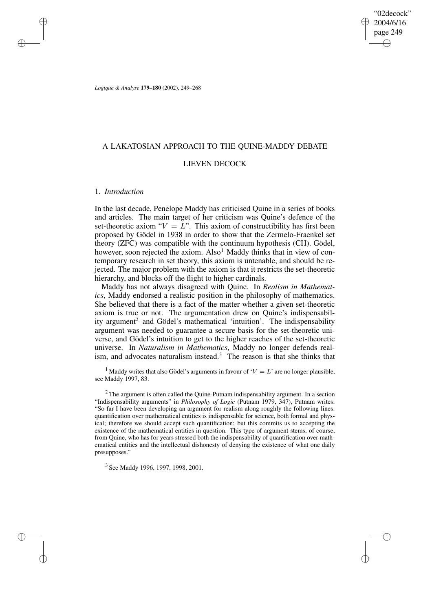"02decock" 2004/6/16 page 249 ✐ ✐

✐

✐

*Logique & Analyse* **179–180** (2002), 249–268

# A LAKATOSIAN APPROACH TO THE QUINE-MADDY DEBATE

# LIEVEN DECOCK

## 1. *Introduction*

✐

✐

✐

✐

In the last decade, Penelope Maddy has criticised Quine in a series of books and articles. The main target of her criticism was Quine's defence of the set-theoretic axiom " $V = L$ ". This axiom of constructibility has first been proposed by Gödel in 1938 in order to show that the Zermelo-Fraenkel set theory (ZFC) was compatible with the continuum hypothesis (CH). Gödel, however, soon rejected the axiom.  $Also<sup>1</sup>$  Maddy thinks that in view of contemporary research in set theory, this axiom is untenable, and should be rejected. The major problem with the axiom is that it restricts the set-theoretic hierarchy, and blocks off the flight to higher cardinals.

Maddy has not always disagreed with Quine. In *Realism in Mathematics*, Maddy endorsed a realistic position in the philosophy of mathematics. She believed that there is a fact of the matter whether a given set-theoretic axiom is true or not. The argumentation drew on Quine's indispensability argument<sup>2</sup> and Gödel's mathematical 'intuition'. The indispensability argument was needed to guarantee a secure basis for the set-theoretic universe, and Gödel's intuition to get to the higher reaches of the set-theoretic universe. In *Naturalism in Mathematics*, Maddy no longer defends realism, and advocates naturalism instead.<sup>3</sup> The reason is that she thinks that

<sup>1</sup> Maddy writes that also Gödel's arguments in favour of ' $V = L$ ' are no longer plausible, see Maddy 1997, 83.

 $2$  The argument is often called the Quine-Putnam indispensability argument. In a section "Indispensability arguments" in *Philosophy of Logic* (Putnam 1979, 347), Putnam writes: "So far I have been developing an argument for realism along roughly the following lines: quantification over mathematical entities is indispensable for science, both formal and physical; therefore we should accept such quantification; but this commits us to accepting the existence of the mathematical entities in question. This type of argument stems, of course, from Quine, who has for years stressed both the indispensability of quantification over mathematical entities and the intellectual dishonesty of denying the existence of what one daily presupposes."

<sup>3</sup> See Maddy 1996, 1997, 1998, 2001.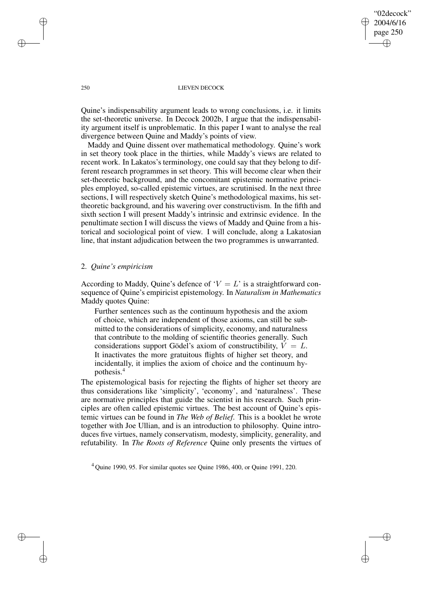"02decock" 2004/6/16 page 250 ✐ ✐

✐

✐

## 250 LIEVEN DECOCK

Quine's indispensability argument leads to wrong conclusions, i.e. it limits the set-theoretic universe. In Decock 2002b, I argue that the indispensability argument itself is unproblematic. In this paper I want to analyse the real divergence between Quine and Maddy's points of view.

Maddy and Quine dissent over mathematical methodology. Quine's work in set theory took place in the thirties, while Maddy's views are related to recent work. In Lakatos's terminology, one could say that they belong to different research programmes in set theory. This will become clear when their set-theoretic background, and the concomitant epistemic normative principles employed, so-called epistemic virtues, are scrutinised. In the next three sections, I will respectively sketch Quine's methodological maxims, his settheoretic background, and his wavering over constructivism. In the fifth and sixth section I will present Maddy's intrinsic and extrinsic evidence. In the penultimate section I will discuss the views of Maddy and Quine from a historical and sociological point of view. I will conclude, along a Lakatosian line, that instant adjudication between the two programmes is unwarranted.

## 2. *Quine's empiricism*

According to Maddy, Quine's defence of ' $V = L$ ' is a straightforward consequence of Quine's empiricist epistemology. In *Naturalism in Mathematics* Maddy quotes Quine:

Further sentences such as the continuum hypothesis and the axiom of choice, which are independent of those axioms, can still be submitted to the considerations of simplicity, economy, and naturalness that contribute to the molding of scientific theories generally. Such considerations support Gödel's axiom of constructibility,  $V = L$ . It inactivates the more gratuitous flights of higher set theory, and incidentally, it implies the axiom of choice and the continuum hypothesis.<sup>4</sup>

The epistemological basis for rejecting the flights of higher set theory are thus considerations like 'simplicity', 'economy', and 'naturalness'. These are normative principles that guide the scientist in his research. Such principles are often called epistemic virtues. The best account of Quine's epistemic virtues can be found in *The Web of Belief*. This is a booklet he wrote together with Joe Ullian, and is an introduction to philosophy. Quine introduces five virtues, namely conservatism, modesty, simplicity, generality, and refutability. In *The Roots of Reference* Quine only presents the virtues of

 $4$  Ouine 1990, 95. For similar quotes see Ouine 1986, 400, or Ouine 1991, 220.

✐

✐

✐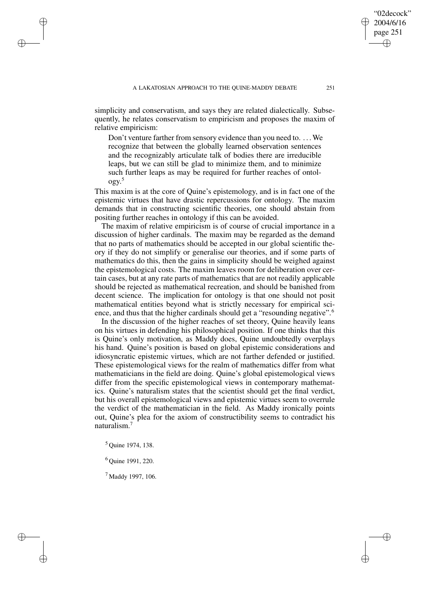simplicity and conservatism, and says they are related dialectically. Subsequently, he relates conservatism to empiricism and proposes the maxim of relative empiricism:

Don't venture farther from sensory evidence than you need to. . . .We recognize that between the globally learned observation sentences and the recognizably articulate talk of bodies there are irreducible leaps, but we can still be glad to minimize them, and to minimize such further leaps as may be required for further reaches of ontology. 5

This maxim is at the core of Quine's epistemology, and is in fact one of the epistemic virtues that have drastic repercussions for ontology. The maxim demands that in constructing scientific theories, one should abstain from positing further reaches in ontology if this can be avoided.

The maxim of relative empiricism is of course of crucial importance in a discussion of higher cardinals. The maxim may be regarded as the demand that no parts of mathematics should be accepted in our global scientific theory if they do not simplify or generalise our theories, and if some parts of mathematics do this, then the gains in simplicity should be weighed against the epistemological costs. The maxim leaves room for deliberation over certain cases, but at any rate parts of mathematics that are not readily applicable should be rejected as mathematical recreation, and should be banished from decent science. The implication for ontology is that one should not posit mathematical entities beyond what is strictly necessary for empirical science, and thus that the higher cardinals should get a "resounding negative".<sup>6</sup>

In the discussion of the higher reaches of set theory, Quine heavily leans on his virtues in defending his philosophical position. If one thinks that this is Quine's only motivation, as Maddy does, Quine undoubtedly overplays his hand. Quine's position is based on global epistemic considerations and idiosyncratic epistemic virtues, which are not farther defended or justified. These epistemological views for the realm of mathematics differ from what mathematicians in the field are doing. Quine's global epistemological views differ from the specific epistemological views in contemporary mathematics. Quine's naturalism states that the scientist should get the final verdict, but his overall epistemological views and epistemic virtues seem to overrule the verdict of the mathematician in the field. As Maddy ironically points out, Quine's plea for the axiom of constructibility seems to contradict his naturalism.<sup>7</sup>

<sup>5</sup> Quine 1974, 138.

✐

✐

✐

✐

<sup>6</sup> Quine 1991, 220.

<sup>7</sup> Maddy 1997, 106.

"02decock" 2004/6/16 page 251

✐

✐

✐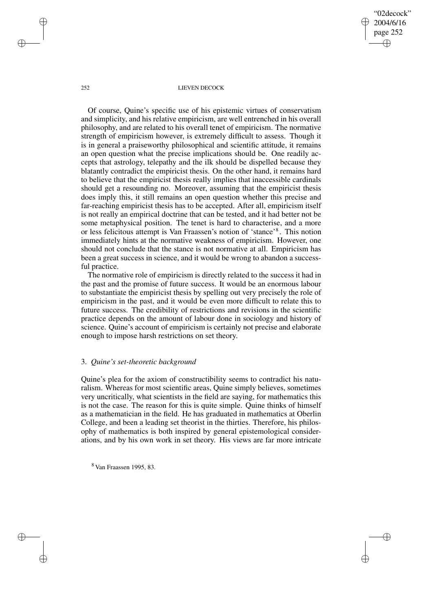"02decock" 2004/6/16 page 252 ✐ ✐

✐

✐

#### 252 LIEVEN DECOCK

Of course, Quine's specific use of his epistemic virtues of conservatism and simplicity, and his relative empiricism, are well entrenched in his overall philosophy, and are related to his overall tenet of empiricism. The normative strength of empiricism however, is extremely difficult to assess. Though it is in general a praiseworthy philosophical and scientific attitude, it remains an open question what the precise implications should be. One readily accepts that astrology, telepathy and the ilk should be dispelled because they blatantly contradict the empiricist thesis. On the other hand, it remains hard to believe that the empiricist thesis really implies that inaccessible cardinals should get a resounding no. Moreover, assuming that the empiricist thesis does imply this, it still remains an open question whether this precise and far-reaching empiricist thesis has to be accepted. After all, empiricism itself is not really an empirical doctrine that can be tested, and it had better not be some metaphysical position. The tenet is hard to characterise, and a more or less felicitous attempt is Van Fraassen's notion of 'stance'<sup>8</sup> . This notion immediately hints at the normative weakness of empiricism. However, one should not conclude that the stance is not normative at all. Empiricism has been a great success in science, and it would be wrong to abandon a successful practice.

The normative role of empiricism is directly related to the success it had in the past and the promise of future success. It would be an enormous labour to substantiate the empiricist thesis by spelling out very precisely the role of empiricism in the past, and it would be even more difficult to relate this to future success. The credibility of restrictions and revisions in the scientific practice depends on the amount of labour done in sociology and history of science. Quine's account of empiricism is certainly not precise and elaborate enough to impose harsh restrictions on set theory.

## 3. *Quine's set-theoretic background*

Quine's plea for the axiom of constructibility seems to contradict his naturalism. Whereas for most scientific areas, Quine simply believes, sometimes very uncritically, what scientists in the field are saying, for mathematics this is not the case. The reason for this is quite simple. Quine thinks of himself as a mathematician in the field. He has graduated in mathematics at Oberlin College, and been a leading set theorist in the thirties. Therefore, his philosophy of mathematics is both inspired by general epistemological considerations, and by his own work in set theory. His views are far more intricate

<sup>8</sup> Van Fraassen 1995, 83.

✐

✐

✐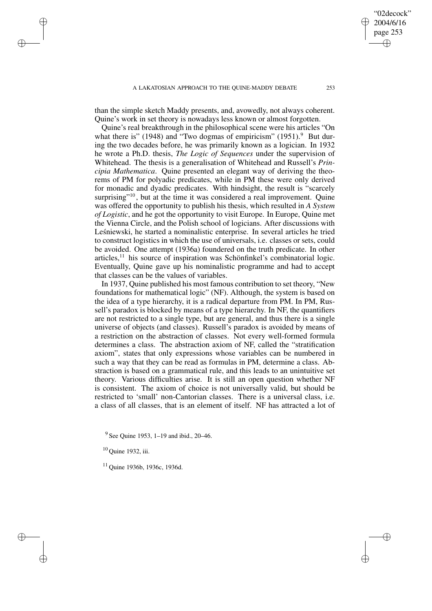A LAKATOSIAN APPROACH TO THE OUINE-MADDY DEBATE 253

than the simple sketch Maddy presents, and, avowedly, not always coherent. Quine's work in set theory is nowadays less known or almost forgotten.

Quine's real breakthrough in the philosophical scene were his articles "On what there is" (1948) and "Two dogmas of empiricism" (1951). $9$  But during the two decades before, he was primarily known as a logician. In 1932 he wrote a Ph.D. thesis, *The Logic of Sequences* under the supervision of Whitehead. The thesis is a generalisation of Whitehead and Russell's *Principia Mathematica*. Quine presented an elegant way of deriving the theorems of PM for polyadic predicates, while in PM these were only derived for monadic and dyadic predicates. With hindsight, the result is "scarcely surprising"<sup>10</sup>, but at the time it was considered a real improvement. Quine was offered the opportunity to publish his thesis, which resulted in *A System of Logistic*, and he got the opportunity to visit Europe. In Europe, Quine met the Vienna Circle, and the Polish school of logicians. After discussions with Lesnie wski, he started a nominalistic enterprise. In several articles he tried to construct logistics in which the use of universals, i.e. classes or sets, could be avoided. One attempt (1936a) foundered on the truth predicate. In other articles, $11$  his source of inspiration was Schönfinkel's combinatorial logic. Eventually, Quine gave up his nominalistic programme and had to accept that classes can be the values of variables.

In 1937, Quine published his most famous contribution to set theory, "New foundations for mathematical logic" (NF). Although, the system is based on the idea of a type hierarchy, it is a radical departure from PM. In PM, Russell's paradox is blocked by means of a type hierarchy. In NF, the quantifiers are not restricted to a single type, but are general, and thus there is a single universe of objects (and classes). Russell's paradox is avoided by means of a restriction on the abstraction of classes. Not every well-formed formula determines a class. The abstraction axiom of NF, called the "stratification axiom", states that only expressions whose variables can be numbered in such a way that they can be read as formulas in PM, determine a class. Abstraction is based on a grammatical rule, and this leads to an unintuitive set theory. Various difficulties arise. It is still an open question whether NF is consistent. The axiom of choice is not universally valid, but should be restricted to 'small' non-Cantorian classes. There is a universal class, i.e. a class of all classes, that is an element of itself. NF has attracted a lot of

✐

✐

✐

✐

"02decock" 2004/6/16 page 253

✐

✐

✐

<sup>&</sup>lt;sup>9</sup> See Quine 1953, 1–19 and ibid., 20–46.

<sup>10</sup> Quine 1932, iii.

<sup>11</sup> Quine 1936b, 1936c, 1936d.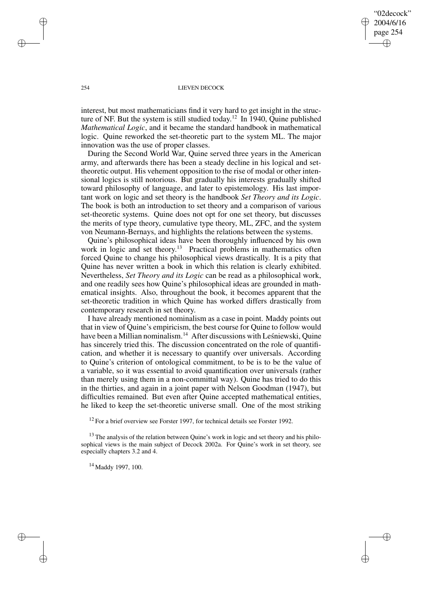"02decock" 2004/6/16 page 254 ✐ ✐

✐

✐

### 254 LIEVEN DECOCK

interest, but most mathematicians find it very hard to get insight in the structure of NF. But the system is still studied today. <sup>12</sup> In 1940, Quine published *Mathematical Logic*, and it became the standard handbook in mathematical logic. Quine reworked the set-theoretic part to the system ML. The major innovation was the use of proper classes.

During the Second World War, Quine served three years in the American army, and afterwards there has been a steady decline in his logical and settheoretic output. His vehement opposition to the rise of modal or other intensional logics is still notorious. But gradually his interests gradually shifted toward philosophy of language, and later to epistemology. His last important work on logic and set theory is the handbook *Set Theory and its Logic*. The book is both an introduction to set theory and a comparison of various set-theoretic systems. Quine does not opt for one set theory, but discusses the merits of type theory, cumulative type theory, ML, ZFC, and the system von Neumann-Bernays, and highlights the relations between the systems.

Quine's philosophical ideas have been thoroughly influenced by his own work in logic and set theory.<sup>13</sup> Practical problems in mathematics often forced Quine to change his philosophical views drastically. It is a pity that Quine has never written a book in which this relation is clearly exhibited. Nevertheless, *Set Theory and its Logic* can be read as a philosophical work, and one readily sees how Quine's philosophical ideas are grounded in mathematical insights. Also, throughout the book, it becomes apparent that the set-theoretic tradition in which Quine has worked differs drastically from contemporary research in set theory.

I have already mentioned nominalism as a case in point. Maddy points out that in view of Quine's empiricism, the best course for Quine to follow would have been a Millian nominalism.<sup>14</sup> After discussions with Leśniewski, Quine has sincerely tried this. The discussion concentrated on the role of quantification, and whether it is necessary to quantify over universals. According to Quine's criterion of ontological commitment, to be is to be the value of a variable, so it was essential to avoid quantification over universals (rather than merely using them in a non-committal way). Quine has tried to do this in the thirties, and again in a joint paper with Nelson Goodman (1947), but difficulties remained. But even after Quine accepted mathematical entities, he liked to keep the set-theoretic universe small. One of the most striking

 $12$  For a brief overview see Forster 1997, for technical details see Forster 1992.

 $13$  The analysis of the relation between Quine's work in logic and set theory and his philosophical views is the main subject of Decock 2002a. For Quine's work in set theory, see especially chapters 3.2 and 4.

<sup>14</sup> Maddy 1997, 100.

✐

✐

✐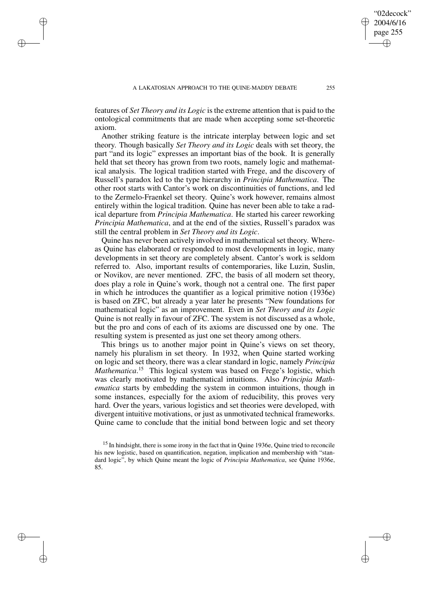### A LAKATOSIAN APPROACH TO THE QUINE-MADDY DEBATE 255

✐

✐

✐

✐

features of *Set Theory and its Logic* is the extreme attention that is paid to the ontological commitments that are made when accepting some set-theoretic axiom.

Another striking feature is the intricate interplay between logic and set theory. Though basically *Set Theory and its Logic* deals with set theory, the part "and its logic" expresses an important bias of the book. It is generally held that set theory has grown from two roots, namely logic and mathematical analysis. The logical tradition started with Frege, and the discovery of Russell's paradox led to the type hierarchy in *Principia Mathematica*. The other root starts with Cantor's work on discontinuities of functions, and led to the Zermelo-Fraenkel set theory. Quine's work however, remains almost entirely within the logical tradition. Quine has never been able to take a radical departure from *Principia Mathematica*. He started his career reworking *Principia Mathematica*, and at the end of the sixties, Russell's paradox was still the central problem in *Set Theory and its Logic*.

Quine has never been actively involved in mathematical set theory. Whereas Quine has elaborated or responded to most developments in logic, many developments in set theory are completely absent. Cantor's work is seldom referred to. Also, important results of contemporaries, like Luzin, Suslin, or Novikov, are never mentioned. ZFC, the basis of all modern set theory, does play a role in Quine's work, though not a central one. The first paper in which he introduces the quantifier as a logical primitive notion (1936e) is based on ZFC, but already a year later he presents "New foundations for mathematical logic" as an improvement. Even in *Set Theory and its Logic* Quine is not really in favour of ZFC. The system is not discussed as a whole, but the pro and cons of each of its axioms are discussed one by one. The resulting system is presented as just one set theory among others.

This brings us to another major point in Quine's views on set theory, namely his pluralism in set theory. In 1932, when Quine started working on logic and set theory, there was a clear standard in logic, namely *Principia Mathematica*. <sup>15</sup> This logical system was based on Frege's logistic, which was clearly motivated by mathematical intuitions. Also *Principia Mathematica* starts by embedding the system in common intuitions, though in some instances, especially for the axiom of reducibility, this proves very hard. Over the years, various logistics and set theories were developed, with divergent intuitive motivations, or just as unmotivated technical frameworks. Quine came to conclude that the initial bond between logic and set theory

"02decock" 2004/6/16 page 255

✐

✐

✐

<sup>&</sup>lt;sup>15</sup> In hindsight, there is some irony in the fact that in Quine 1936e, Quine tried to reconcile his new logistic, based on quantification, negation, implication and membership with "standard logic", by which Quine meant the logic of *Principia Mathematica*, see Quine 1936e, 85.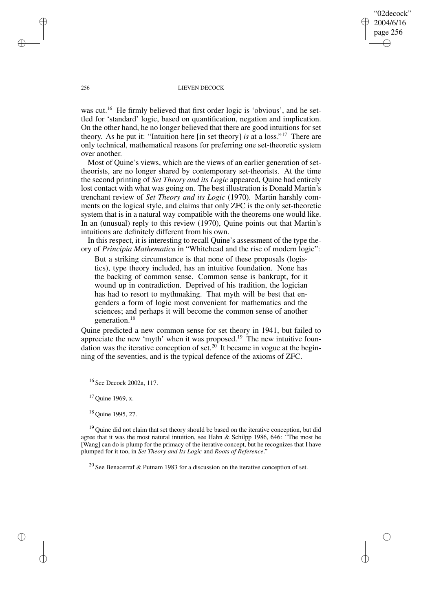"02decock" 2004/6/16 page 256 ✐ ✐

✐

✐

#### 256 LIEVEN DECOCK

was cut.<sup>16</sup> He firmly believed that first order logic is 'obvious', and he settled for 'standard' logic, based on quantification, negation and implication. On the other hand, he no longer believed that there are good intuitions for set theory. As he put it: "Intuition here [in set theory] *is* at a loss." <sup>17</sup> There are only technical, mathematical reasons for preferring one set-theoretic system over another.

Most of Quine's views, which are the views of an earlier generation of settheorists, are no longer shared by contemporary set-theorists. At the time the second printing of *Set Theory and its Logic* appeared, Quine had entirely lost contact with what was going on. The best illustration is Donald Martin's trenchant review of *Set Theory and its Logic* (1970). Martin harshly comments on the logical style, and claims that only ZFC is the only set-theoretic system that is in a natural way compatible with the theorems one would like. In an (unusual) reply to this review (1970), Quine points out that Martin's intuitions are definitely different from his own.

In this respect, it is interesting to recall Quine's assessment of the type theory of *Principia Mathematica* in "Whitehead and the rise of modern logic":

But a striking circumstance is that none of these proposals (logistics), type theory included, has an intuitive foundation. None has the backing of common sense. Common sense is bankrupt, for it wound up in contradiction. Deprived of his tradition, the logician has had to resort to mythmaking. That myth will be best that engenders a form of logic most convenient for mathematics and the sciences; and perhaps it will become the common sense of another generation.<sup>18</sup>

Quine predicted a new common sense for set theory in 1941, but failed to appreciate the new 'myth' when it was proposed.<sup>19</sup> The new intuitive foundation was the iterative conception of set.<sup>20</sup> It became in vogue at the beginning of the seventies, and is the typical defence of the axioms of ZFC.

<sup>16</sup> See Decock 2002a, 117.

 $17$  Quine 1969, x.

<sup>18</sup> Quine 1995, 27.

<sup>19</sup> Quine did not claim that set theory should be based on the iterative conception, but did agree that it was the most natural intuition, see Hahn & Schilpp 1986, 646: "The most he [Wang] can do is plump for the primacy of the iterative concept, but he recognizes that I have plumped for it too, in *Set Theory and Its Logic* and *Roots of Reference*."

<sup>20</sup> See Benacerraf & Putnam 1983 for a discussion on the iterative conception of set.

✐

✐

✐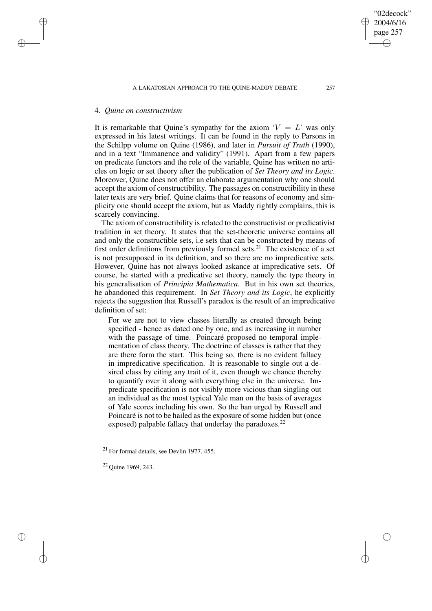A LAKATOSIAN APPROACH TO THE OUINE-MADDY DEBATE 257

## 4. *Quine on constructivism*

✐

✐

✐

✐

It is remarkable that Quine's sympathy for the axiom  $V = L'$  was only expressed in his latest writings. It can be found in the reply to Parsons in the Schilpp volume on Quine (1986), and later in *Pursuit of Truth* (1990), and in a text "Immanence and validity" (1991). Apart from a few papers on predicate functors and the role of the variable, Quine has written no articles on logic or set theory after the publication of *Set Theory and its Logic*. Moreover, Quine does not offer an elaborate argumentation why one should accept the axiom of constructibility. The passages on constructibility in these later texts are very brief. Quine claims that for reasons of economy and simplicity one should accept the axiom, but as Maddy rightly complains, this is scarcely convincing.

The axiom of constructibility is related to the constructivist or predicativist tradition in set theory. It states that the set-theoretic universe contains all and only the constructible sets, i.e sets that can be constructed by means of first order definitions from previously formed sets.<sup>21</sup> The existence of a set is not presupposed in its definition, and so there are no impredicative sets. However, Quine has not always looked askance at impredicative sets. Of course, he started with a predicative set theory, namely the type theory in his generalisation of *Principia Mathematica*. But in his own set theories, he abandoned this requirement. In *Set Theory and its Logic*, he explicitly rejects the suggestion that Russell's paradox is the result of an impredicative definition of set:

For we are not to view classes literally as created through being specified - hence as dated one by one, and as increasing in number with the passage of time. Poincaré proposed no temporal implementation of class theory. The doctrine of classes is rather that they are there form the start. This being so, there is no evident fallacy in impredicative specification. It is reasonable to single out a desired class by citing any trait of it, even though we chance thereby to quantify over it along with everything else in the universe. Impredicate specification is not visibly more vicious than singling out an individual as the most typical Yale man on the basis of averages of Yale scores including his own. So the ban urged by Russell and Poincaré is not to be hailed as the exposure of some hidden but (once exposed) palpable fallacy that underlay the paradoxes. $^{22}$ 

<sup>21</sup> For formal details, see Devlin 1977, 455.

<sup>22</sup> Quine 1969, 243.

"02decock" 2004/6/16 page 257

✐

✐

✐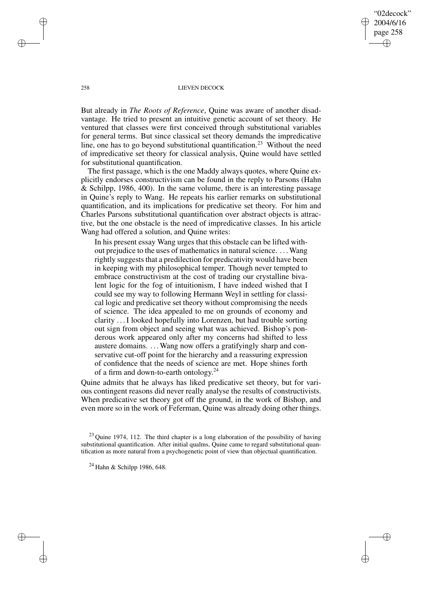"02decock" 2004/6/16 page 258 ✐ ✐

✐

✐

### 258 LIEVEN DECOCK

But already in *The Roots of Reference*, Quine was aware of another disadvantage. He tried to present an intuitive genetic account of set theory. He ventured that classes were first conceived through substitutional variables for general terms. But since classical set theory demands the impredicative line, one has to go beyond substitutional quantification.<sup>23</sup> Without the need of impredicative set theory for classical analysis, Quine would have settled for substitutional quantification.

The first passage, which is the one Maddy always quotes, where Quine explicitly endorses constructivism can be found in the reply to Parsons (Hahn & Schilpp, 1986, 400). In the same volume, there is an interesting passage in Quine's reply to Wang. He repeats his earlier remarks on substitutional quantification, and its implications for predicative set theory. For him and Charles Parsons substitutional quantification over abstract objects is attractive, but the one obstacle is the need of impredicative classes. In his article Wang had offered a solution, and Quine writes:

In his present essay Wang urges that this obstacle can be lifted without prejudice to the uses of mathematics in natural science. . . .Wang rightly suggests that a predilection for predicativity would have been in keeping with my philosophical temper. Though never tempted to embrace constructivism at the cost of trading our crystalline bivalent logic for the fog of intuitionism, I have indeed wished that I could see my way to following Hermann Weyl in settling for classical logic and predicative set theory without compromising the needs of science. The idea appealed to me on grounds of economy and clarity . . .I looked hopefully into Lorenzen, but had trouble sorting out sign from object and seeing what was achieved. Bishop's ponderous work appeared only after my concerns had shifted to less austere domains. ... Wang now offers a gratifyingly sharp and conservative cut-off point for the hierarchy and a reassuring expression of confidence that the needs of science are met. Hope shines forth of a firm and down-to-earth ontology.<sup>24</sup>

Quine admits that he always has liked predicative set theory, but for various contingent reasons did never really analyse the results of constructivists. When predicative set theory got off the ground, in the work of Bishop, and even more so in the work of Feferman, Quine was already doing other things.

✐

✐

✐

 $^{23}$  Quine 1974, 112. The third chapter is a long elaboration of the possibility of having substitutional quantification. After initial qualms, Quine came to regard substitutional quantification as more natural from a psychogenetic point of view than objectual quantification.

 $24$  Hahn & Schilpp 1986, 648.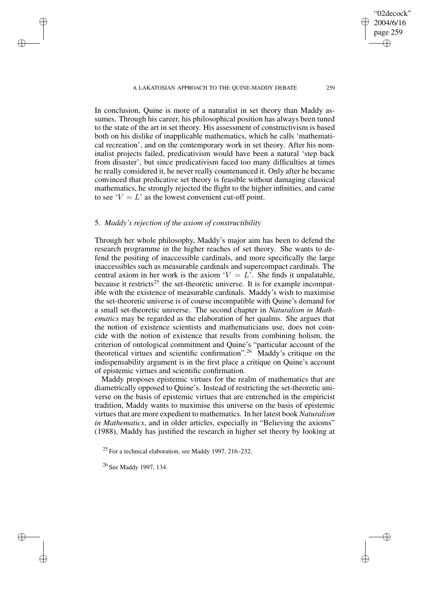A LAKATOSIAN APPROACH TO THE OUINE-MADDY DEBATE 259

In conclusion, Quine is more of a naturalist in set theory than Maddy assumes. Through his career, his philosophical position has always been tuned to the state of the art in set theory. His assessment of constructivism is based both on his dislike of inapplicable mathematics, which he calls 'mathematical recreation', and on the contemporary work in set theory. After his nominalist projects failed, predicativism would have been a natural 'step back from disaster', but since predicativism faced too many difficulties at times he really considered it, he never really countenanced it. Only after he became convinced that predicative set theory is feasible without damaging classical mathematics, he strongly rejected the flight to the higher infinities, and came to see ' $V = L$ ' as the lowest convenient cut-off point.

## 5. *Maddy's rejection of the axiom of constructibility*

✐

✐

✐

✐

Through her whole philosophy, Maddy's major aim has been to defend the research programme in the higher reaches of set theory. She wants to defend the positing of inaccessible cardinals, and more specifically the large inaccessibles such as measurable cardinals and supercompact cardinals. The central axiom in her work is the axiom ' $V = L'$ . She finds it unpalatable, because it restricts<sup>25</sup> the set-theoretic universe. It is for example incompatible with the existence of measurable cardinals. Maddy's wish to maximise the set-theoretic universe is of course incompatible with Quine's demand for a small set-theoretic universe. The second chapter in *Naturalism in Mathematics* may be regarded as the elaboration of her qualms. She argues that the notion of existence scientists and mathematicians use, does not coincide with the notion of existence that results from combining holism, the criterion of ontological commitment and Quine's "particular account of the theoretical virtues and scientific confirmation".<sup>26</sup> Maddy's critique on the indispensability argument is in the first place a critique on Quine's account of epistemic virtues and scientific confirmation.

Maddy proposes epistemic virtues for the realm of mathematics that are diametrically opposed to Quine's. Instead of restricting the set-theoretic universe on the basis of epistemic virtues that are entrenched in the empiricist tradition, Maddy wants to maximise this universe on the basis of epistemic virtues that are more expedient to mathematics. In her latest book *Naturalism in Mathematics*, and in older articles, especially in "Believing the axioms" (1988), Maddy has justified the research in higher set theory by looking at

<sup>25</sup> For a technical elaboration, see Maddy 1997, 216–232.

<sup>26</sup> See Maddy 1997, 134.

"02decock" 2004/6/16 page 259

✐

✐

✐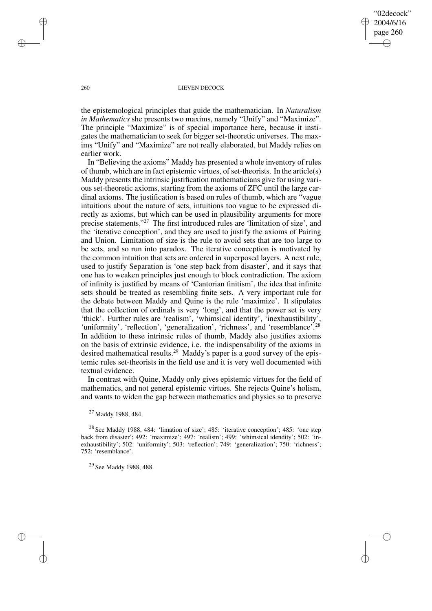"02decock" 2004/6/16 page 260 ✐ ✐

✐

✐

### 260 LIEVEN DECOCK

the epistemological principles that guide the mathematician. In *Naturalism in Mathematics* she presents two maxims, namely "Unify" and "Maximize". The principle "Maximize" is of special importance here, because it instigates the mathematician to seek for bigger set-theoretic universes. The maxims "Unify" and "Maximize" are not really elaborated, but Maddy relies on earlier work.

In "Believing the axioms" Maddy has presented a whole inventory of rules of thumb, which are in fact epistemic virtues, of set-theorists. In the article(s) Maddy presents the intrinsic justification mathematicians give for using various set-theoretic axioms, starting from the axioms of ZFC until the large cardinal axioms. The justification is based on rules of thumb, which are "vague intuitions about the nature of sets, intuitions too vague to be expressed directly as axioms, but which can be used in plausibility arguments for more precise statements."<sup>27</sup> The first introduced rules are 'limitation of size', and the 'iterative conception', and they are used to justify the axioms of Pairing and Union. Limitation of size is the rule to avoid sets that are too large to be sets, and so run into paradox. The iterative conception is motivated by the common intuition that sets are ordered in superposed layers. A next rule, used to justify Separation is 'one step back from disaster', and it says that one has to weaken principles just enough to block contradiction. The axiom of infinity is justified by means of 'Cantorian finitism', the idea that infinite sets should be treated as resembling finite sets. A very important rule for the debate between Maddy and Quine is the rule 'maximize'. It stipulates that the collection of ordinals is very 'long', and that the power set is very 'thick'. Further rules are 'realism', 'whimsical identity', 'inexhaustibility', 'uniformity', 'reflection', 'generalization', 'richness', and 'resemblance'.<sup>28</sup> In addition to these intrinsic rules of thumb, Maddy also justifies axioms on the basis of extrinsic evidence, i.e. the indispensability of the axioms in desired mathematical results.<sup>29</sup> Maddy's paper is a good survey of the epistemic rules set-theorists in the field use and it is very well documented with textual evidence.

In contrast with Quine, Maddy only gives epistemic virtues for the field of mathematics, and not general epistemic virtues. She rejects Quine's holism, and wants to widen the gap between mathematics and physics so to preserve

<sup>27</sup> Maddy 1988, 484.

<sup>28</sup> See Maddy 1988, 484: 'limation of size'; 485: 'iterative conception'; 485: 'one step back from disaster'; 492: 'maximize'; 497: 'realism'; 499: 'whimsical idendity'; 502: 'inexhaustibility'; 502: 'uniformity'; 503: 'reflection'; 749: 'generalization'; 750: 'richness'; 752: 'resemblance'.

<sup>29</sup> See Maddy 1988, 488.

✐

✐

✐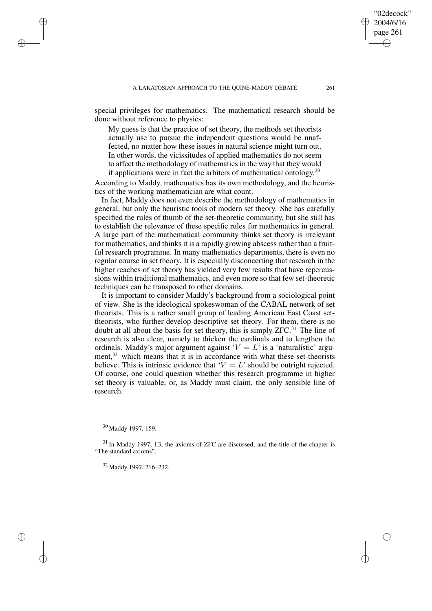special privileges for mathematics. The mathematical research should be done without reference to physics:

My guess is that the practice of set theory, the methods set theorists actually use to pursue the independent questions would be unaffected, no matter how these issues in natural science might turn out. In other words, the vicissitudes of applied mathematics do not seem to affect the methodology of mathematics in the way that they would if applications were in fact the arbiters of mathematical ontology.<sup>30</sup>

According to Maddy, mathematics has its own methodology, and the heuristics of the working mathematician are what count.

In fact, Maddy does not even describe the methodology of mathematics in general, but only the heuristic tools of modern set theory. She has carefully specified the rules of thumb of the set-theoretic community, but she still has to establish the relevance of these specific rules for mathematics in general. A large part of the mathematical community thinks set theory is irrelevant for mathematics, and thinks it is a rapidly growing abscess rather than a fruitful research programme. In many mathematics departments, there is even no regular course in set theory. It is especially disconcerting that research in the higher reaches of set theory has yielded very few results that have repercussions within traditional mathematics, and even more so that few set-theoretic techniques can be transposed to other domains.

It is important to consider Maddy's background from a sociological point of view. She is the ideological spokeswoman of the CABAL network of set theorists. This is a rather small group of leading American East Coast settheorists, who further develop descriptive set theory. For them, there is no doubt at all about the basis for set theory, this is simply  $ZFC<sup>31</sup>$ . The line of research is also clear, namely to thicken the cardinals and to lengthen the ordinals. Maddy's major argument against  $V = L'$  is a 'naturalistic' argument, $32$  which means that it is in accordance with what these set-theorists believe. This is intrinsic evidence that  $V = L'$  should be outright rejected. Of course, one could question whether this research programme in higher set theory is valuable, or, as Maddy must claim, the only sensible line of research.

✐

✐

✐

✐

"02decock" 2004/6/16 page 261

✐

✐

✐

<sup>30</sup> Maddy 1997, 159.

<sup>&</sup>lt;sup>31</sup> In Maddy 1997, I.3, the axioms of ZFC are discussed, and the title of the chapter is "The standard axioms".

<sup>32</sup> Maddy 1997, 216–232.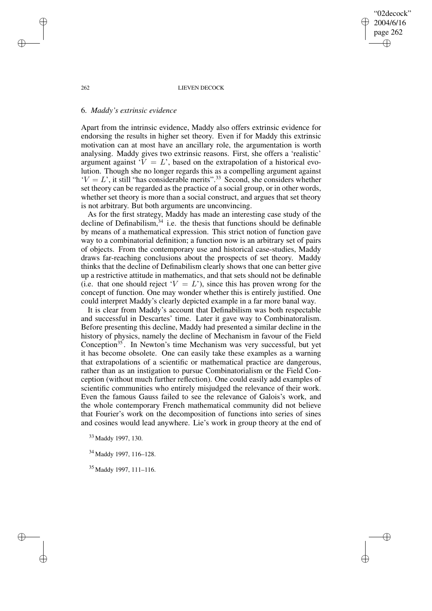#### 262 LIEVEN DECOCK

"02decock" 2004/6/16 page 262

✐

✐

✐

✐

## 6. *Maddy's extrinsic evidence*

Apart from the intrinsic evidence, Maddy also offers extrinsic evidence for endorsing the results in higher set theory. Even if for Maddy this extrinsic motivation can at most have an ancillary role, the argumentation is worth analysing. Maddy gives two extrinsic reasons. First, she offers a 'realistic' argument against  $V = L$ , based on the extrapolation of a historical evolution. Though she no longer regards this as a compelling argument against  $V = L'$ , it still "has considerable merits".<sup>33</sup> Second, she considers whether set theory can be regarded as the practice of a social group, or in other words, whether set theory is more than a social construct, and argues that set theory is not arbitrary. But both arguments are unconvincing.

As for the first strategy, Maddy has made an interesting case study of the decline of Definabilism,  $34$  i.e. the thesis that functions should be definable by means of a mathematical expression. This strict notion of function gave way to a combinatorial definition; a function now is an arbitrary set of pairs of objects. From the contemporary use and historical case-studies, Maddy draws far-reaching conclusions about the prospects of set theory. Maddy thinks that the decline of Definabilism clearly shows that one can better give up a restrictive attitude in mathematics, and that sets should not be definable (i.e. that one should reject ' $V = L$ '), since this has proven wrong for the concept of function. One may wonder whether this is entirely justified. One could interpret Maddy's clearly depicted example in a far more banal way.

It is clear from Maddy's account that Definabilism was both respectable and successful in Descartes' time. Later it gave way to Combinatoralism. Before presenting this decline, Maddy had presented a similar decline in the history of physics, namely the decline of Mechanism in favour of the Field Conception<sup>35</sup>. In Newton's time Mechanism was very successful, but yet it has become obsolete. One can easily take these examples as a warning that extrapolations of a scientific or mathematical practice are dangerous, rather than as an instigation to pursue Combinatorialism or the Field Conception (without much further reflection). One could easily add examples of scientific communities who entirely misjudged the relevance of their work. Even the famous Gauss failed to see the relevance of Galois's work, and the whole contemporary French mathematical community did not believe that Fourier's work on the decomposition of functions into series of sines and cosines would lead anywhere. Lie's work in group theory at the end of

<sup>33</sup> Maddy 1997, 130.

<sup>34</sup> Maddy 1997, 116–128.

<sup>35</sup> Maddy 1997, 111–116.

✐

✐

✐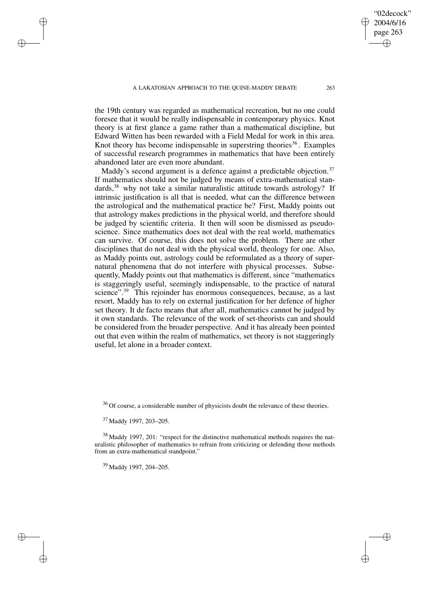the 19th century was regarded as mathematical recreation, but no one could foresee that it would be really indispensable in contemporary physics. Knot theory is at first glance a game rather than a mathematical discipline, but Edward Witten has been rewarded with a Field Medal for work in this area. Knot theory has become indispensable in superstring theories<sup>36</sup>. Examples of successful research programmes in mathematics that have been entirely abandoned later are even more abundant.

Maddy's second argument is a defence against a predictable objection.<sup>37</sup> If mathematics should not be judged by means of extra-mathematical standards,<sup>38</sup> why not take a similar naturalistic attitude towards astrology? If intrinsic justification is all that is needed, what can the difference between the astrological and the mathematical practice be? First, Maddy points out that astrology makes predictions in the physical world, and therefore should be judged by scientific criteria. It then will soon be dismissed as pseudoscience. Since mathematics does not deal with the real world, mathematics can survive. Of course, this does not solve the problem. There are other disciplines that do not deal with the physical world, theology for one. Also, as Maddy points out, astrology could be reformulated as a theory of supernatural phenomena that do not interfere with physical processes. Subsequently, Maddy points out that mathematics is different, since "mathematics is staggeringly useful, seemingly indispensable, to the practice of natural science".<sup>39</sup> This rejoinder has enormous consequences, because, as a last resort, Maddy has to rely on external justification for her defence of higher set theory. It de facto means that after all, mathematics cannot be judged by it own standards. The relevance of the work of set-theorists can and should be considered from the broader perspective. And it has already been pointed out that even within the realm of mathematics, set theory is not staggeringly useful, let alone in a broader context.

<sup>36</sup> Of course, a considerable number of physicists doubt the relevance of these theories.

<sup>37</sup> Maddy 1997, 203–205.

✐

✐

✐

✐

<sup>38</sup> Maddy 1997, 201: "respect for the distinctive mathematical methods requires the naturalistic philosopher of mathematics to refrain from criticizing or defending those methods from an extra-mathematical standpoint.'

<sup>39</sup> Maddy 1997, 204–205.

"02decock" 2004/6/16 page 263

✐

✐

✐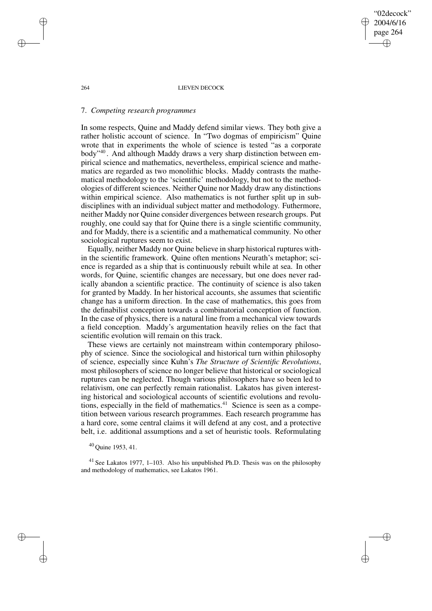264 LIEVEN DECOCK

"02decock" 2004/6/16 page 264

✐

✐

✐

✐

## 7. *Competing research programmes*

In some respects, Quine and Maddy defend similar views. They both give a rather holistic account of science. In "Two dogmas of empiricism" Quine wrote that in experiments the whole of science is tested "as a corporate body"<sup>40</sup> . And although Maddy draws a very sharp distinction between empirical science and mathematics, nevertheless, empirical science and mathematics are regarded as two monolithic blocks. Maddy contrasts the mathematical methodology to the 'scientific' methodology, but not to the methodologies of different sciences. Neither Quine nor Maddy draw any distinctions within empirical science. Also mathematics is not further split up in subdisciplines with an individual subject matter and methodology. Futhermore, neither Maddy nor Quine consider divergences between research groups. Put roughly, one could say that for Quine there is a single scientific community, and for Maddy, there is a scientific and a mathematical community. No other sociological ruptures seem to exist.

Equally, neither Maddy nor Quine believe in sharp historical ruptures within the scientific framework. Quine often mentions Neurath's metaphor; science is regarded as a ship that is continuously rebuilt while at sea. In other words, for Quine, scientific changes are necessary, but one does never radically abandon a scientific practice. The continuity of science is also taken for granted by Maddy. In her historical accounts, she assumes that scientific change has a uniform direction. In the case of mathematics, this goes from the definabilist conception towards a combinatorial conception of function. In the case of physics, there is a natural line from a mechanical view towards a field conception. Maddy's argumentation heavily relies on the fact that scientific evolution will remain on this track.

These views are certainly not mainstream within contemporary philosophy of science. Since the sociological and historical turn within philosophy of science, especially since Kuhn's *The Structure of Scientific Revolutions*, most philosophers of science no longer believe that historical or sociological ruptures can be neglected. Though various philosophers have so been led to relativism, one can perfectly remain rationalist. Lakatos has given interesting historical and sociological accounts of scientific evolutions and revolutions, especially in the field of mathematics. $41$  Science is seen as a competition between various research programmes. Each research programme has a hard core, some central claims it will defend at any cost, and a protective belt, i.e. additional assumptions and a set of heuristic tools. Reformulating

<sup>40</sup> Quine 1953, 41.

<sup>41</sup> See Lakatos 1977, 1–103. Also his unpublished Ph.D. Thesis was on the philosophy and methodology of mathematics, see Lakatos 1961.

✐

✐

✐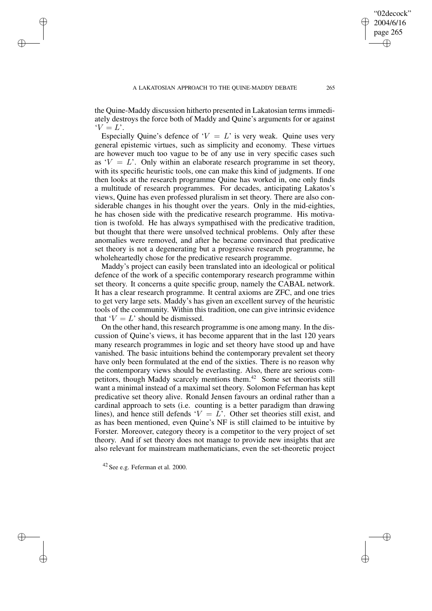✐

✐

✐

✐

the Quine-Maddy discussion hitherto presented in Lakatosian terms immediately destroys the force both of Maddy and Quine's arguments for or against  $Y = L'$ .

Especially Ouine's defence of  $V = L'$  is very weak. Ouine uses very general epistemic virtues, such as simplicity and economy. These virtues are however much too vague to be of any use in very specific cases such as  $V = L'$ . Only within an elaborate research programme in set theory, with its specific heuristic tools, one can make this kind of judgments. If one then looks at the research programme Quine has worked in, one only finds a multitude of research programmes. For decades, anticipating Lakatos's views, Quine has even professed pluralism in set theory. There are also considerable changes in his thought over the years. Only in the mid-eighties, he has chosen side with the predicative research programme. His motivation is twofold. He has always sympathised with the predicative tradition, but thought that there were unsolved technical problems. Only after these anomalies were removed, and after he became convinced that predicative set theory is not a degenerating but a progressive research programme, he wholeheartedly chose for the predicative research programme.

Maddy's project can easily been translated into an ideological or political defence of the work of a specific contemporary research programme within set theory. It concerns a quite specific group, namely the CABAL network. It has a clear research programme. It central axioms are ZFC, and one tries to get very large sets. Maddy's has given an excellent survey of the heuristic tools of the community. Within this tradition, one can give intrinsic evidence that  $V = L'$  should be dismissed.

On the other hand, this research programme is one among many. In the discussion of Quine's views, it has become apparent that in the last 120 years many research programmes in logic and set theory have stood up and have vanished. The basic intuitions behind the contemporary prevalent set theory have only been formulated at the end of the sixties. There is no reason why the contemporary views should be everlasting. Also, there are serious competitors, though Maddy scarcely mentions them.<sup>42</sup> Some set theorists still want a minimal instead of a maximal set theory. Solomon Feferman has kept predicative set theory alive. Ronald Jensen favours an ordinal rather than a cardinal approach to sets (i.e. counting is a better paradigm than drawing lines), and hence still defends ' $V = L$ '. Other set theories still exist, and as has been mentioned, even Quine's NF is still claimed to be intuitive by Forster. Moreover, category theory is a competitor to the very project of set theory. And if set theory does not manage to provide new insights that are also relevant for mainstream mathematicians, even the set-theoretic project

"02decock" 2004/6/16 page 265

✐

✐

✐

<sup>42</sup> See e.g. Feferman et al. 2000.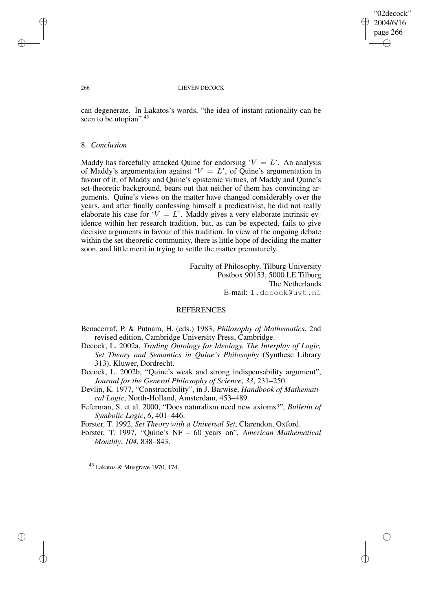"02decock" 2004/6/16 page 266 ✐ ✐

✐

✐

#### 266 LIEVEN DECOCK

can degenerate. In Lakatos's words, "the idea of instant rationality can be seen to be utopian".<sup>43</sup>

## 8. *Conclusion*

Maddy has forcefully attacked Quine for endorsing  $V = L'$ . An analysis of Maddy's argumentation against ' $V = L$ ', of Quine's argumentation in favour of it, of Maddy and Quine's epistemic virtues, of Maddy and Quine's set-theoretic background, bears out that neither of them has convincing arguments. Quine's views on the matter have changed considerably over the years, and after finally confessing himself a predicativist, he did not really elaborate his case for ' $V = L$ '. Maddy gives a very elaborate intrinsic evidence within her research tradition, but, as can be expected, fails to give decisive arguments in favour of this tradition. In view of the ongoing debate within the set-theoretic community, there is little hope of deciding the matter soon, and little merit in trying to settle the matter prematurely.

> Faculty of Philosophy, Tilburg University Postbox 90153, 5000 LE Tilburg The Netherlands E-mail: l.decock@uvt.nl

# **REFERENCES**

- Benacerraf, P. & Putnam, H. (eds.) 1983, *Philosophy of Mathematics*, 2nd revised edition, Cambridge University Press, Cambridge.
- Decock, L. 2002a, *Trading Ontology for Ideology. The Interplay of Logic, Set Theory and Semantics in Quine's Philosophy* (Synthese Library 313), Kluwer, Dordrecht.
- Decock, L. 2002b, "Quine's weak and strong indispensability argument", *Journal for the General Philosophy of Science*, *33*, 231–250.

Devlin, K. 1977, "Constructibility", in J. Barwise, *Handbook of Mathematical Logic*, North-Holland, Amsterdam, 453–489.

Feferman, S. et al. 2000, "Does naturalism need new axioms?", *Bulletin of Symbolic Logic*, *6*, 401–446.

Forster, T. 1992, *Set Theory with a Universal Set*, Clarendon, Oxford.

Forster, T. 1997, "Quine's NF – 60 years on", *American Mathematical Monthly*, *104*, 838–843.

<sup>43</sup> Lakatos & Musgrave 1970, 174.

✐

✐

✐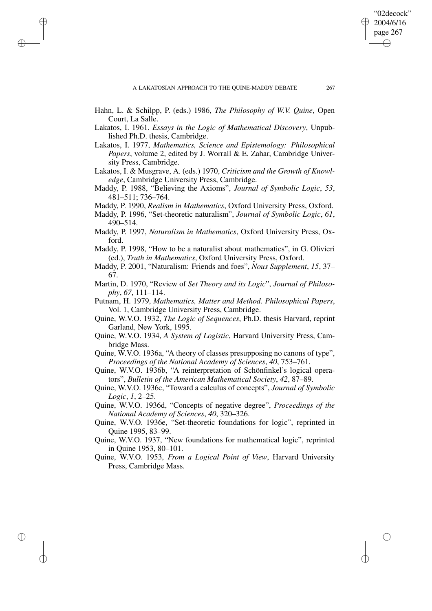✐

✐

✐

✐

✐

✐

"02decock"

- Hahn, L. & Schilpp, P. (eds.) 1986, *The Philosophy of W.V. Quine*, Open Court, La Salle.
- Lakatos, I. 1961. *Essays in the Logic of Mathematical Discovery*, Unpublished Ph.D. thesis, Cambridge.
- Lakatos, I. 1977, *Mathematics, Science and Epistemology: Philosophical Papers*, volume 2, edited by J. Worrall & E. Zahar, Cambridge University Press, Cambridge.
- Lakatos, I. & Musgrave, A. (eds.) 1970, *Criticism and the Growth of Knowledge*, Cambridge University Press, Cambridge.
- Maddy, P. 1988, "Believing the Axioms", *Journal of Symbolic Logic*, *53*, 481–511; 736–764.
- Maddy, P. 1990, *Realism in Mathematics*, Oxford University Press, Oxford.
- Maddy, P. 1996, "Set-theoretic naturalism", *Journal of Symbolic Logic*, *61*, 490–514.
- Maddy, P. 1997, *Naturalism in Mathematics*, Oxford University Press, Oxford.
- Maddy, P. 1998, "How to be a naturalist about mathematics", in G. Olivieri (ed.), *Truth in Mathematics*, Oxford University Press, Oxford.
- Maddy, P. 2001, "Naturalism: Friends and foes", *Nous Supplement*, *15*, 37– 67.
- Martin, D. 1970, "Review of *Set Theory and its Logic*", *Journal of Philosophy*, *67*, 111–114.
- Putnam, H. 1979, *Mathematics, Matter and Method. Philosophical Papers*, Vol. 1, Cambridge University Press, Cambridge.
- Quine, W.V.O. 1932, *The Logic of Sequences*, Ph.D. thesis Harvard, reprint Garland, New York, 1995.
- Quine, W.V.O. 1934, *A System of Logistic*, Harvard University Press, Cambridge Mass.
- Quine, W.V.O. 1936a, "A theory of classes presupposing no canons of type", *Proceedings of the National Academy of Sciences*, *40*, 753–761.
- Quine, W.V.O. 1936b, "A reinterpretation of Schönfinkel's logical operators", *Bulletin of the American Mathematical Society*, *42*, 87–89.
- Quine, W.V.O. 1936c, "Toward a calculus of concepts", *Journal of Symbolic Logic*, *1*, 2–25.
- Quine, W.V.O. 1936d, "Concepts of negative degree", *Proceedings of the National Academy of Sciences*, *40*, 320–326.
- Quine, W.V.O. 1936e, "Set-theoretic foundations for logic", reprinted in Quine 1995, 83–99.
- Quine, W.V.O. 1937, "New foundations for mathematical logic", reprinted in Quine 1953, 80–101.
- Quine, W.V.O. 1953, *From a Logical Point of View*, Harvard University Press, Cambridge Mass.